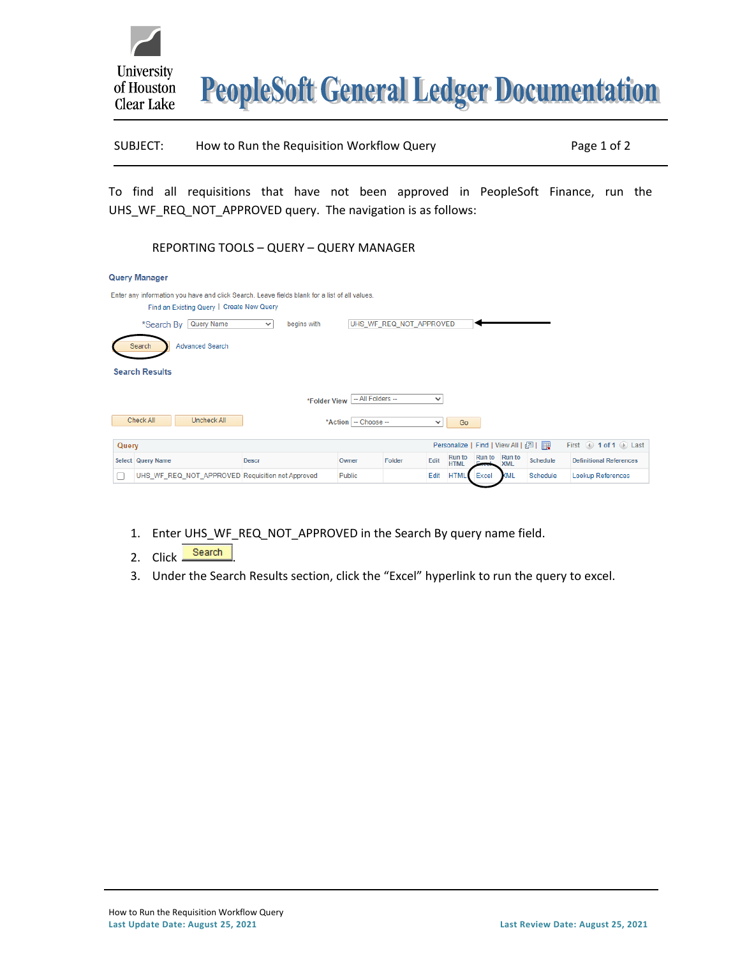

**PeopleSoft General Ledger Documentation** 

SUBJECT: How to Run the Requisition Workflow Query Page 1 of 2

To find all requisitions that have not been approved in PeopleSoft Finance, run the UHS\_WF\_REQ\_NOT\_APPROVED query. The navigation is as follows:

## REPORTING TOOLS – QUERY – QUERY MANAGER

|                                                                                                                                            | Query Manager                                    |                             |               |                         |      |                              |               |            |          |                                         |  |
|--------------------------------------------------------------------------------------------------------------------------------------------|--------------------------------------------------|-----------------------------|---------------|-------------------------|------|------------------------------|---------------|------------|----------|-----------------------------------------|--|
| Enter any information you have and click Search. Leave fields blank for a list of all values.<br>Find an Existing Query   Create New Query |                                                  |                             |               |                         |      |                              |               |            |          |                                         |  |
|                                                                                                                                            | Query Name<br>*Search By                         | begins with<br>$\checkmark$ |               | UHS WF REQ NOT APPROVED |      |                              |               |            |          |                                         |  |
|                                                                                                                                            | <b>Advanced Search</b><br>Search                 |                             |               |                         |      |                              |               |            |          |                                         |  |
| <b>Search Results</b>                                                                                                                      |                                                  |                             |               |                         |      |                              |               |            |          |                                         |  |
| -- All Folders --<br>$\checkmark$<br>*Folder View                                                                                          |                                                  |                             |               |                         |      |                              |               |            |          |                                         |  |
| Check All<br><b>Uncheck All</b><br>*Action - Choose --<br>Go<br>$\checkmark$                                                               |                                                  |                             |               |                         |      |                              |               |            |          |                                         |  |
| Personalize   Find   View All   2  <br>Query                                                                                               |                                                  |                             |               |                         |      |                              |               |            |          | First $\bigcirc$ 1 of 1 $\bigcirc$ Last |  |
|                                                                                                                                            | Select Query Name                                | <b>Descr</b>                | Owner         | Folder                  | Edit | <b>Run to</b><br><b>HTML</b> | Run to Run to | <b>XML</b> | Schedule | <b>Definitional References</b>          |  |
| Е                                                                                                                                          | UHS_WF_REQ_NOT_APPROVED Requisition not Approved |                             | <b>Public</b> |                         | Edit | <b>HTML</b>                  | Excel         | KML        | Schedule | Lookup References                       |  |

- 1. Enter UHS\_WF\_REQ\_NOT\_APPROVED in the Search By query name field.
- 2. Click Search
- 3. Under the Search Results section, click the "Excel" hyperlink to run the query to excel.